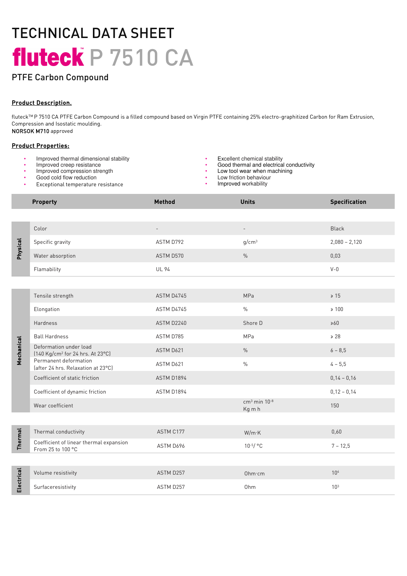# TECHNICAL DATA SHEET fluteck P 7510 CA

### PTFE Carbon Compound

#### Product Description.

fluteckTM P 7510 CA PTFE Carbon Compound is a filled compound based on Virgin PTFE containing 25% electro-graphitized Carbon for Ram Extrusion, Compression and Isostatic moulding. NORSOK M710 approved

#### Product Properties:

- Improved thermal dimensional stability **•** Excellent chemical stability **•** Excellent chemical stability **•** Good thermal and electrica
- 
- Improved compression strength
- Good cold flow reduction
- Exceptional temperature resistance
- 
- Improved creep resistance  **Cood thermal and electrical conductivity •** Good thermal and electrical conductivity
	- Low tool wear when machining
	- Low friction behaviour
	- Improved workability

|                | <b>Property</b>                                                        | Method                   | <b>Units</b>                         | <b>Specification</b> |
|----------------|------------------------------------------------------------------------|--------------------------|--------------------------------------|----------------------|
|                |                                                                        |                          |                                      |                      |
| Physical       | Color                                                                  | $\overline{\phantom{0}}$ | $\overline{\phantom{a}}$             | <b>Black</b>         |
|                | Specific gravity                                                       | ASTM D792                | g/cm <sup>3</sup>                    | $2,080 - 2,120$      |
|                | Water absorption                                                       | ASTM D570                | $\%$                                 | 0,03                 |
|                | Flamability                                                            | <b>UL 94</b>             |                                      | $V - 0$              |
|                |                                                                        |                          |                                      |                      |
| Mechanical     | Tensile strength                                                       | ASTM D4745               | MPa                                  | $\geq 15$            |
|                | Elongation                                                             | ASTM D4745               | $\frac{0}{0}$                        | $\geq 100$           |
|                | Hardness                                                               | ASTM D2240               | Shore D                              | >60                  |
|                | <b>Ball Hardness</b>                                                   | ASTM D785                | MPa                                  | $\ge 28$             |
|                | Deformation under load<br>[140 Kg/cm <sup>2</sup> for 24 hrs. At 23°C] | ASTM D621                | $\%$                                 | $6 - 8,5$            |
|                | Permanent deformation<br>(after 24 hrs. Relaxation at 23°C)            | ASTM D621                | $\frac{0}{0}$                        | $4 - 5,5$            |
|                | Coefficient of static friction                                         | ASTM D1894               |                                      | $0,14 - 0,16$        |
|                | Coefficient of dynamic friction                                        | ASTM D1894               |                                      | $0,12 - 0,14$        |
|                | Wear coefficient                                                       |                          | $cm3$ min 10 <sup>-8</sup><br>Kg m h | 150                  |
|                |                                                                        |                          |                                      |                      |
| <b>Thermal</b> | Thermal conductivity                                                   | ASTM C177                | W/m K                                | 0,60                 |
|                | Coefficient of linear thermal expansion<br>From 25 to 100 °C           | ASTM D696                | $10^{-5}/$ °C                        | $7 - 12,5$           |
|                |                                                                        |                          |                                      |                      |
| Electrical     | Volume resistivity                                                     | ASTM D257                | Ohm·cm                               | 10 <sup>4</sup>      |
|                | Surfaceresistivity                                                     | ASTM D257                | Ohm                                  | 10 <sup>3</sup>      |
|                |                                                                        |                          |                                      |                      |
|                |                                                                        |                          |                                      |                      |
|                |                                                                        |                          |                                      |                      |
|                |                                                                        |                          |                                      |                      |